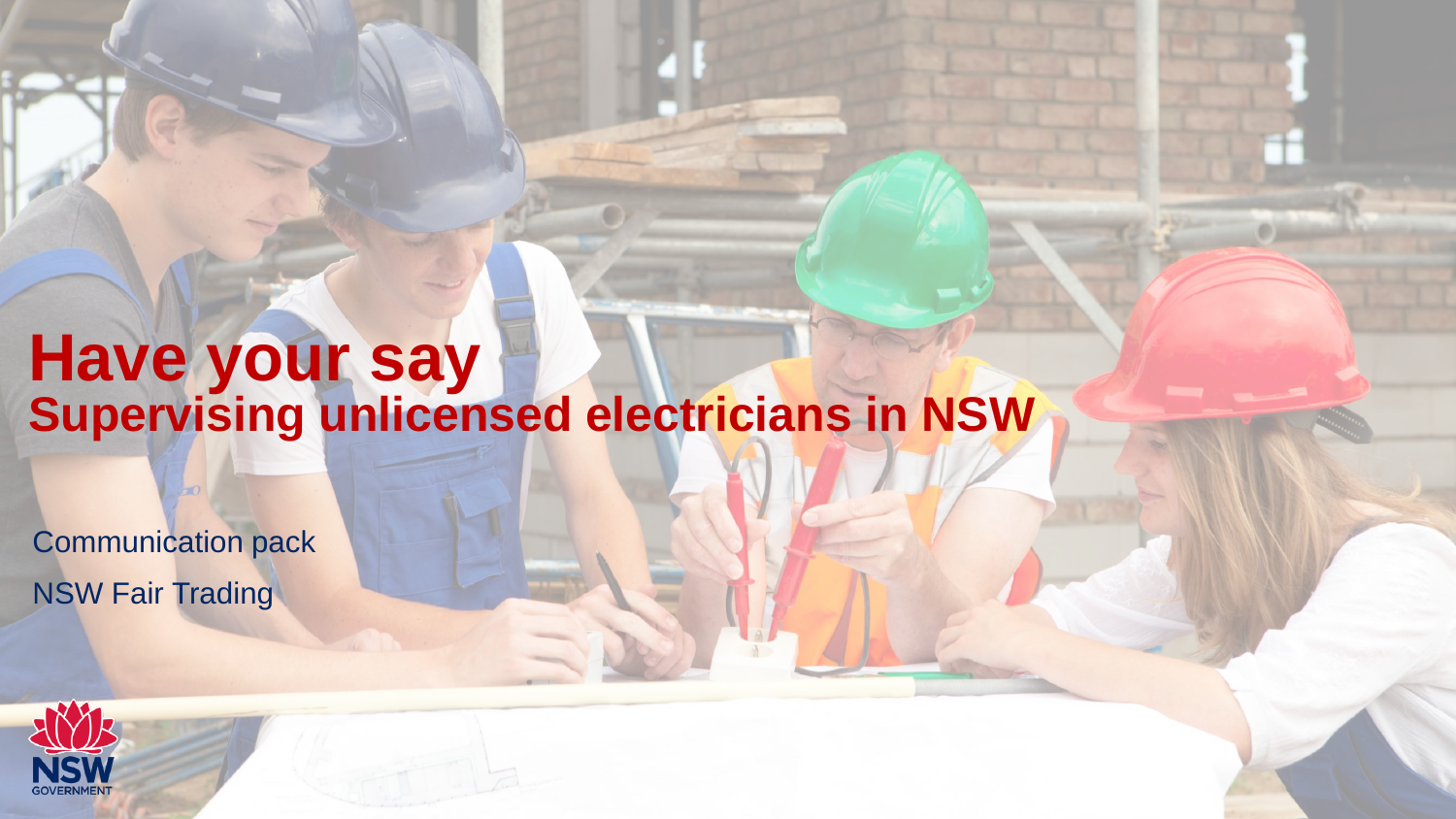### **Have your say Supervising unlicensed electricians in NSW**

Communication pack NSW Fair Trading

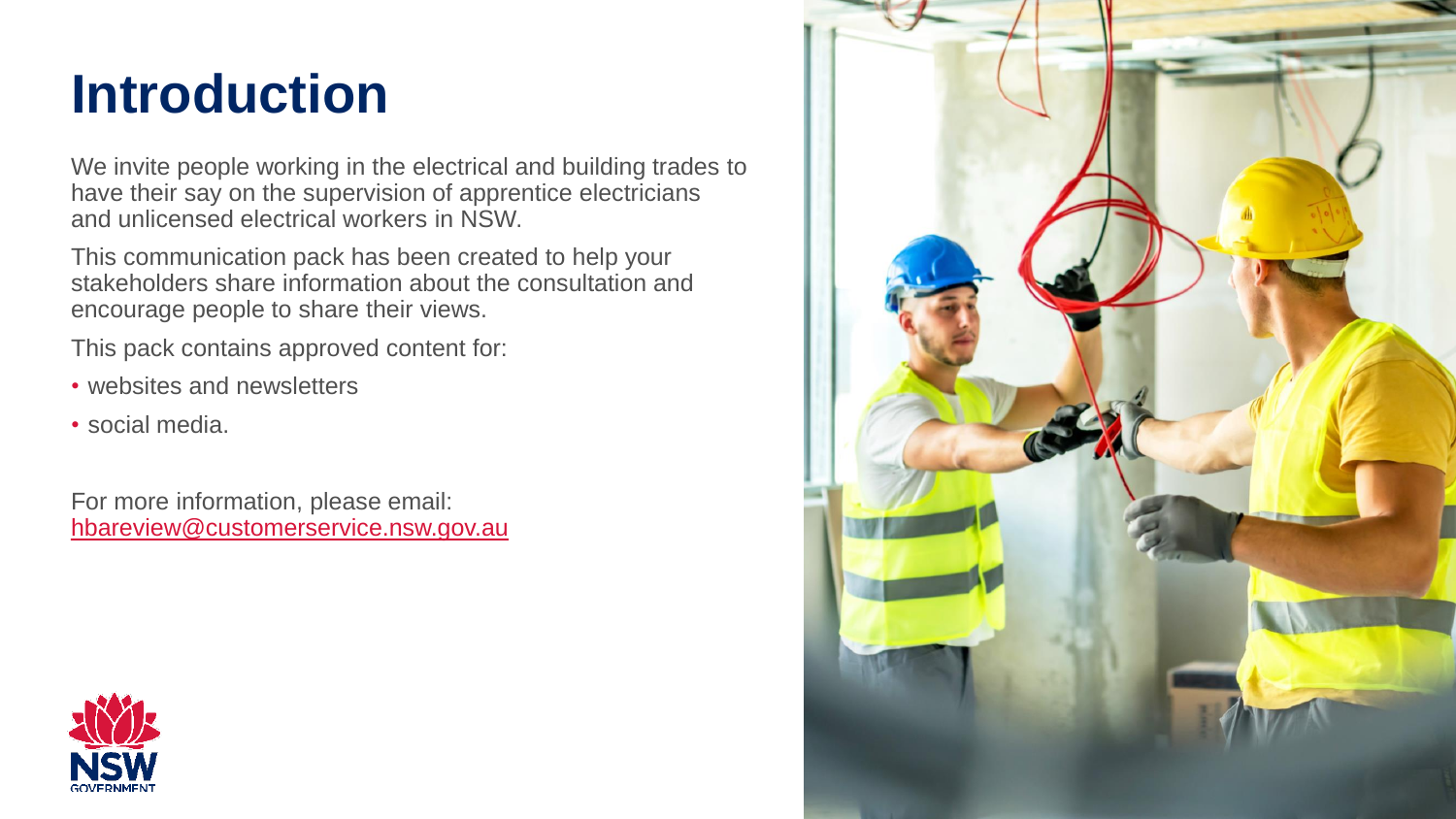## **Introduction**

We invite people working in the electrical and building trades to have their say on the supervision of apprentice electricians and unlicensed electrical workers in NSW.

This communication pack has been created to help your stakeholders share information about the consultation and encourage people to share their views.

This pack contains approved content for:

- websites and newsletters
- social media.

For more information, please email: [hbareview@customerservice.nsw.gov.au](mailto:hbareview@customerservice.nsw.gov.au)



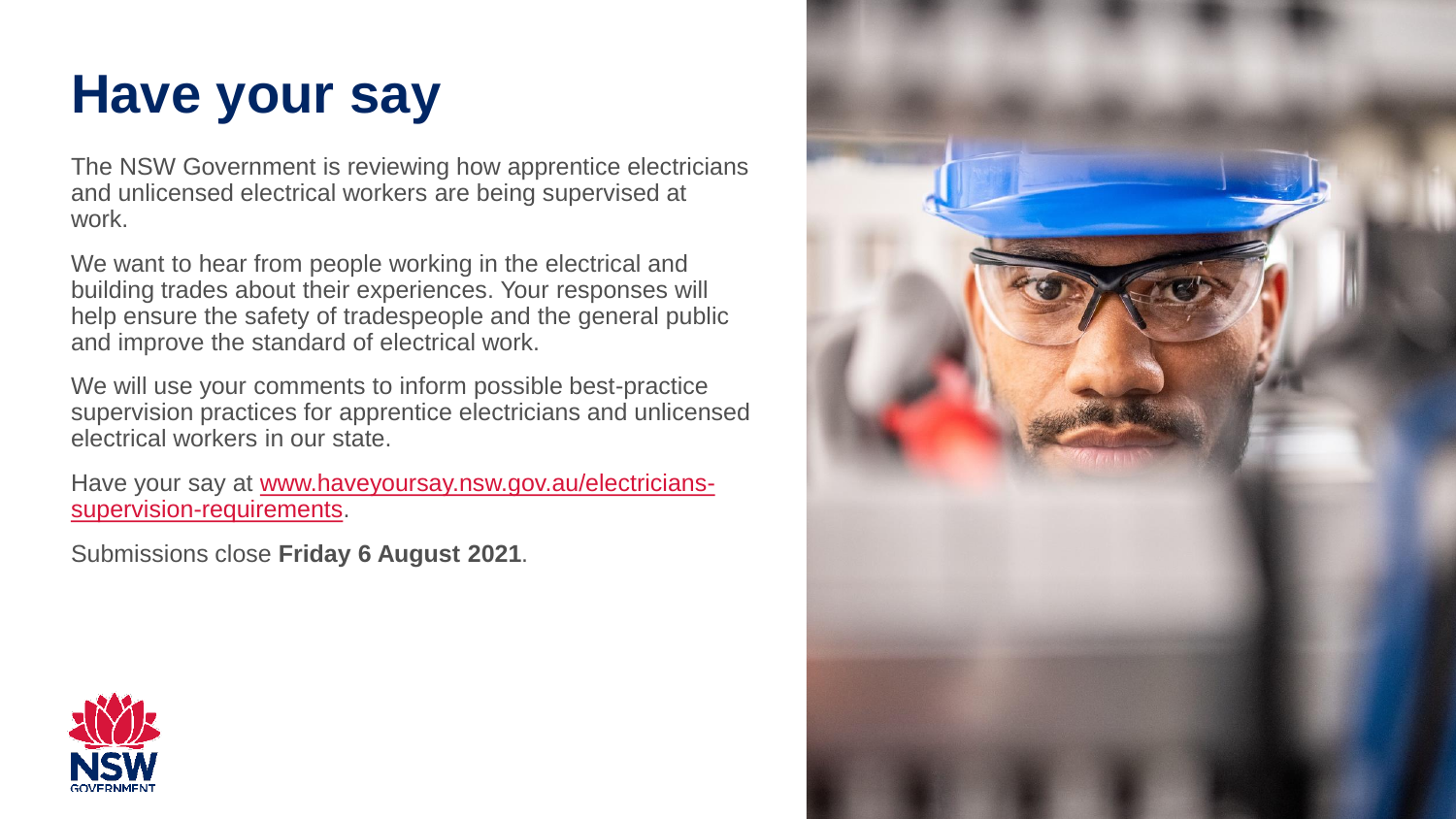# **Have your say**

The NSW Government is reviewing how apprentice electricians and unlicensed electrical workers are being supervised at work.

We want to hear from people working in the electrical and building trades about their experiences. Your responses will help ensure the safety of tradespeople and the general public and improve the standard of electrical work.

We will use your comments to inform possible best-practice supervision practices for apprentice electricians and unlicensed electrical workers in our state.

[Have your say at www.haveyoursay.nsw.gov.au/electricians](http://www.haveyoursay.nsw.gov.au/electricians-supervision-requirements)supervision-requirements.

Submissions close **Friday 6 August 2021**.



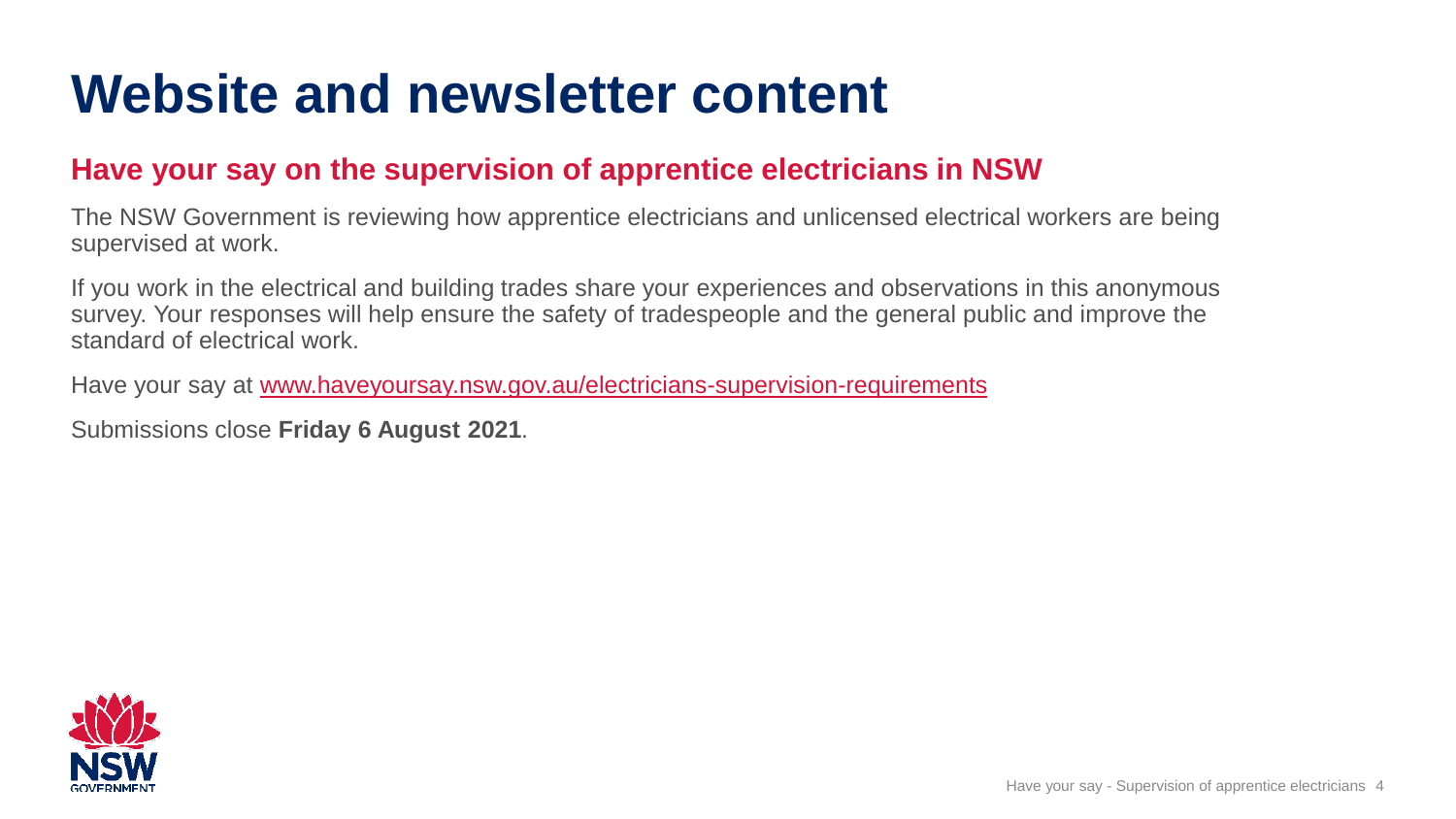### **Website and newsletter content**

#### **Have your say on the supervision of apprentice electricians in NSW**

The NSW Government is reviewing how apprentice electricians and unlicensed electrical workers are being supervised at work.

If you work in the electrical and building trades share your experiences and observations in this anonymous survey. Your responses will help ensure the safety of tradespeople and the general public and improve the standard of electrical work.

Have your say at [www.haveyoursay.nsw.gov.au/electricians-supervision-requirements](http://www.haveyoursay.nsw.gov.au/electricians-supervision-requirements)

Submissions close **Friday 6 August 2021**.

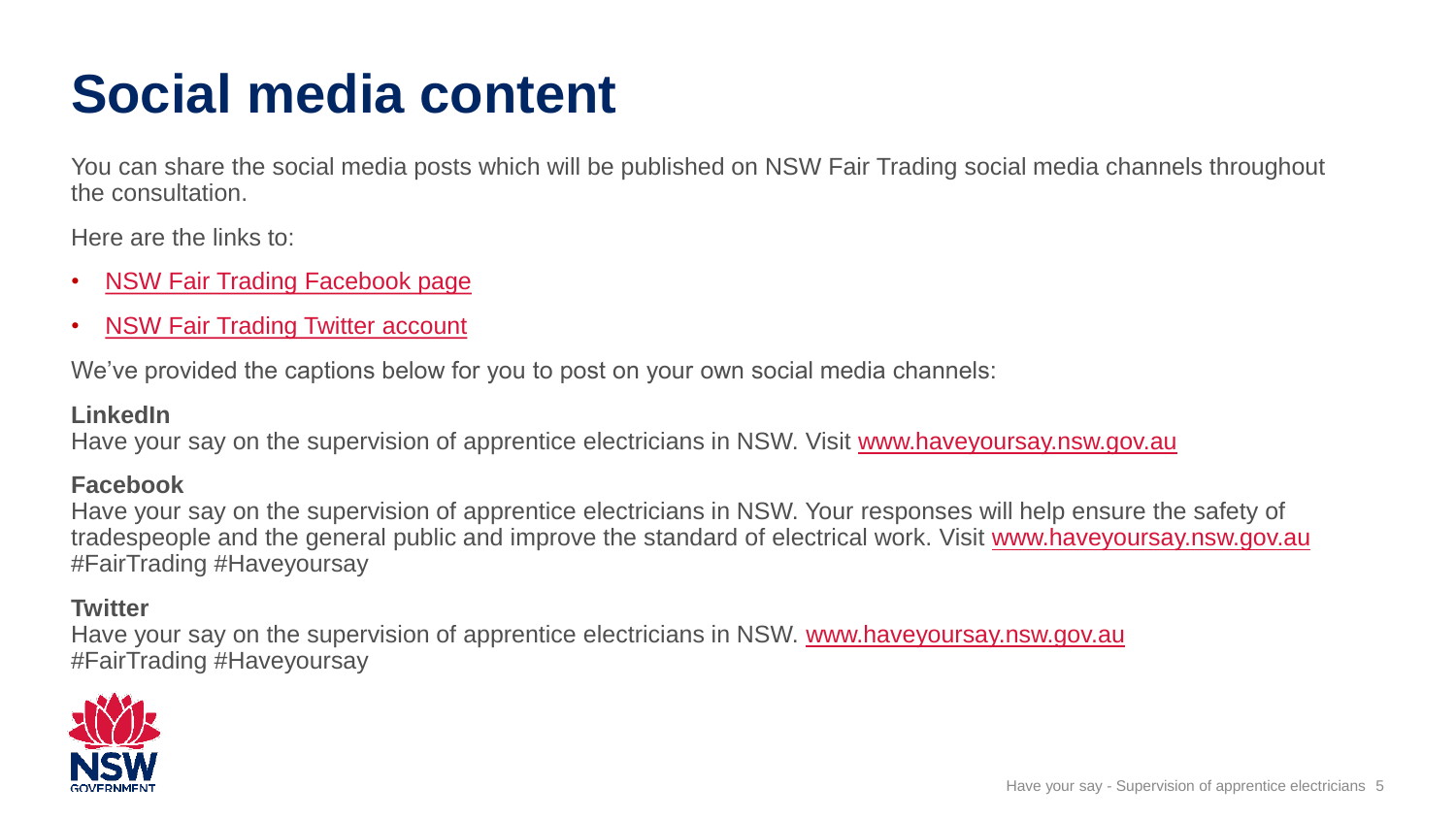# **Social media content**

You can share the social media posts which will be published on NSW Fair Trading social media channels throughout the consultation.

Here are the links to:

- [NSW Fair Trading Facebook page](https://www.facebook.com/FairTradingNSW/)
- [NSW Fair Trading Twitter account](https://twitter.com/NSW_FairTrading)

We've provided the captions below for you to post on your own social media channels:

#### **LinkedIn**

Have your say on the supervision of apprentice electricians in NSW. Visit [www.haveyoursay.nsw.gov.au](http://www.haveyoursay.nsw.gov.au/)

#### **Facebook**

Have your say on the supervision of apprentice electricians in NSW. Your responses will help ensure the safety of tradespeople and the general public and improve the standard of electrical work. Visit [www.haveyoursay.nsw.gov.au](http://www.haveyoursay.nsw.gov.au/) #FairTrading #Haveyoursay

#### **Twitter**

Have your say on the supervision of apprentice electricians in NSW. [www.haveyoursay.nsw.gov.au](http://www.haveyoursay.nsw.gov.au/electricians-supervision-requirements) #FairTrading #Haveyoursay

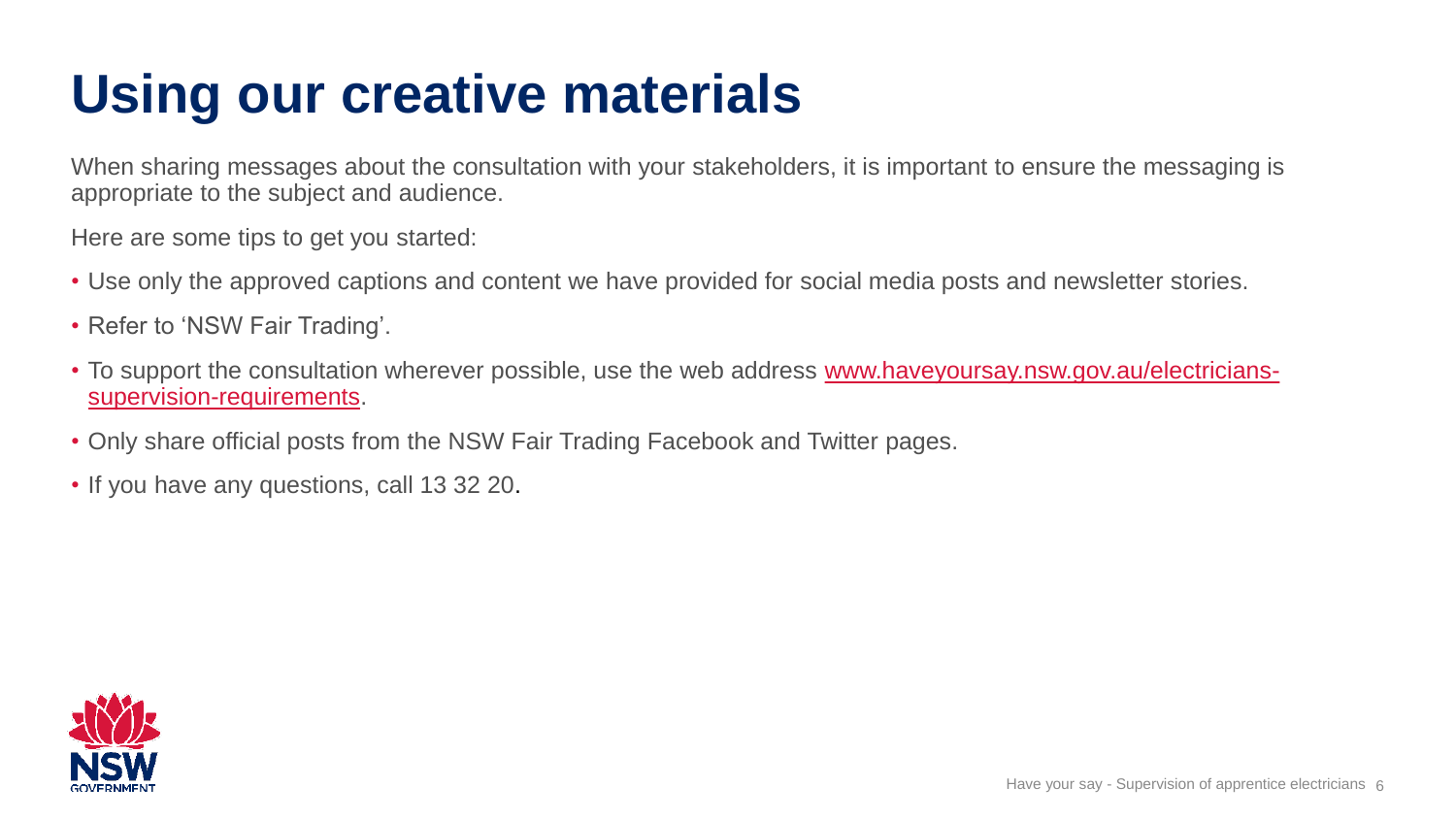# **Using our creative materials**

When sharing messages about the consultation with your stakeholders, it is important to ensure the messaging is appropriate to the subject and audience.

Here are some tips to get you started:

- Use only the approved captions and content we have provided for social media posts and newsletter stories.
- Refer to 'NSW Fair Trading'.
- [To support the consultation wherever possible, use the web address www.haveyoursay.nsw.gov.au/electricians](http://www.haveyoursay.nsw.gov.au/electricians-supervision-requirements)supervision-requirements.
- Only share official posts from the NSW Fair Trading Facebook and Twitter pages.
- If you have any questions, call 13 32 20.